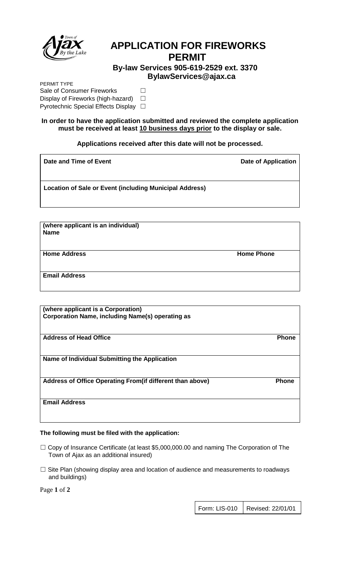

# **APPLICATION FOR FIREWORKS PERMIT**

 **By-law Services 905-619-2529 ext. 3370 BylawServices@ajax.ca**

PERMIT TYPE Sale of Consumer Fireworks □ Display of Fireworks (high-hazard) □ Pyrotechnic Special Effects Display □

#### **In order to have the application submitted and reviewed the complete application must be received at least 10 business days prior to the display or sale.**

## **Applications received after this date will not be processed.**

| Date and Time of Event                                  | <b>Date of Application</b> |
|---------------------------------------------------------|----------------------------|
| Location of Sale or Event (including Municipal Address) |                            |

**(where applicant is an individual) Name**

**Home Address and Series Address and Series Address and Series Address and Series Address and Series Address and Series Address and Series Address and Series Address and Series Address and Series Address and Series Address** 

**Email Address**

**(where applicant is a Corporation) Corporation Name, including Name(s) operating as**

**Address of Head Office Phone** 

**Name of Individual Submitting the Application**

Address of Office Operating From(if different than above) Phone

**Email Address**

#### **The following must be filed with the application:**

- ☐ Copy of Insurance Certificate (at least \$5,000,000.00 and naming The Corporation of The Town of Ajax as an additional insured)
- □ Site Plan (showing display area and location of audience and measurements to roadways and buildings)

Page **1** of **2**